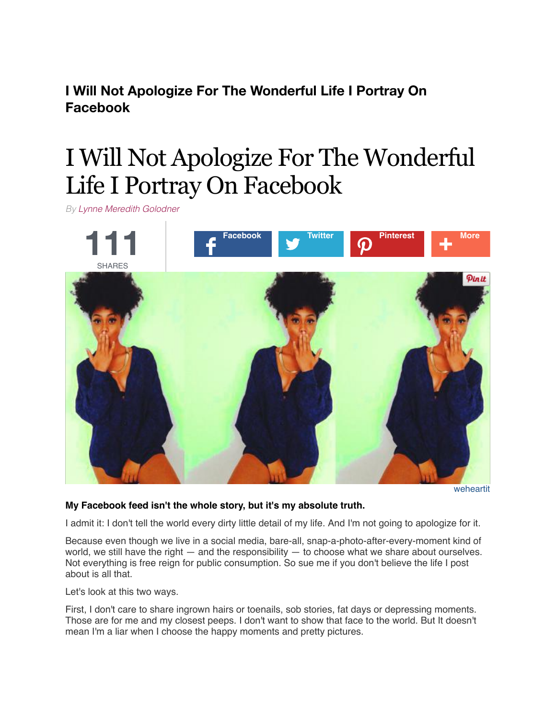**I Will Not Apologize For The Wonderful Life I Portray On Facebook**

# I Will Not Apologize For The Wonderful Life I Portray On Facebook

*By [Lynne Meredith Golodner](http://www.yourtango.com/users/lynne-meredith-golodner)*



[weheartit](http://weheartit.com/entry/180557832)

#### **My Facebook feed isn't the whole story, but it's my absolute truth.**

I admit it: I don't tell the world every dirty little detail of my life. And I'm not going to apologize for it.

Because even though we live in a social media, bare-all, snap-a-photo-after-every-moment kind of world, we still have the right  $-$  and the responsibility  $-$  to choose what we share about ourselves. Not everything is free reign for public consumption. So sue me if you don't believe the life I post about is all that.

Let's look at this two ways.

First, I don't care to share ingrown hairs or toenails, sob stories, fat days or depressing moments. Those are for me and my closest peeps. I don't want to show that face to the world. But It doesn't mean I'm a liar when I choose the happy moments and pretty pictures.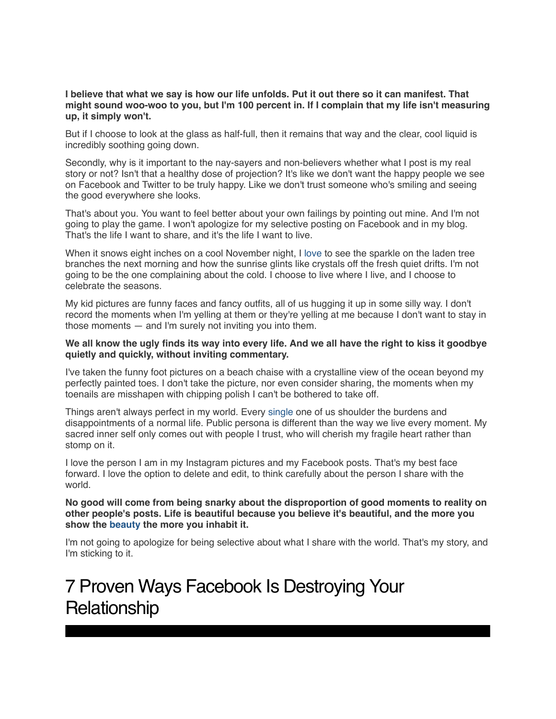**I believe that what we say is how our life unfolds. Put it out there so it can manifest. That might sound woo-woo to you, but I'm 100 percent in. If I complain that my life isn't measuring up, it simply won't.**

But if I choose to look at the glass as half-full, then it remains that way and the clear, cool liquid is incredibly soothing going down.

Secondly, why is it important to the nay-sayers and non-believers whether what I post is my real story or not? Isn't that a healthy dose of projection? It's like we don't want the happy people we see on Facebook and Twitter to be truly happy. Like we don't trust someone who's smiling and seeing the good everywhere she looks.

That's about you. You want to feel better about your own failings by pointing out mine. And I'm not going to play the game. I won't apologize for my selective posting on Facebook and in my blog. That's the life I want to share, and it's the life I want to live.

When it snows eight inches on a cool November night, I [love](http://www.yourtango.com/love) to see the sparkle on the laden tree branches the next morning and how the sunrise glints like crystals off the fresh quiet drifts. I'm not going to be the one complaining about the cold. I choose to live where I live, and I choose to celebrate the seasons.

My kid pictures are funny faces and fancy outfits, all of us hugging it up in some silly way. I don't record the moments when I'm yelling at them or they're yelling at me because I don't want to stay in those moments — and I'm surely not inviting you into them.

#### **We all know the ugly finds its way into every life. And we all have the right to kiss it goodbye quietly and quickly, without inviting commentary.**

I've taken the funny foot pictures on a beach chaise with a crystalline view of the ocean beyond my perfectly painted toes. I don't take the picture, nor even consider sharing, the moments when my toenails are misshapen with chipping polish I can't be bothered to take off.

Things aren't always perfect in my world. Every [single](http://www.yourtango.com/single) one of us shoulder the burdens and disappointments of a normal life. Public persona is different than the way we live every moment. My sacred inner self only comes out with people I trust, who will cherish my fragile heart rather than stomp on it.

I love the person I am in my Instagram pictures and my Facebook posts. That's my best face forward. I love the option to delete and edit, to think carefully about the person I share with the world.

#### **No good will come from being snarky about the disproportion of good moments to reality on other people's posts. Life is beautiful because you believe it's beautiful, and the more you show the [beauty](http://www.yourtango.com/taxonomy/term/39839) the more you inhabit it.**

I'm not going to apologize for being selective about what I share with the world. That's my story, and I'm sticking to it.

## [7 Proven Ways Facebook Is Destroying Your](http://www.yourtango.com/2014229572/7-ways-facebook-destroying-your-relationship) **Relationship**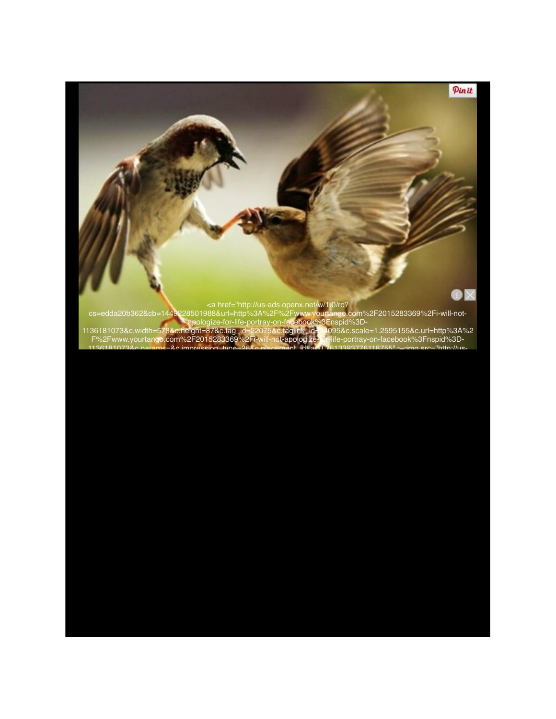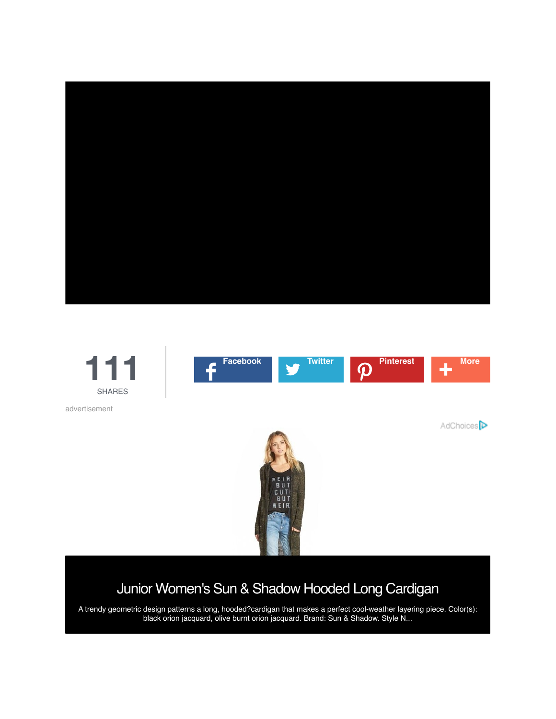



### [Junior Women's Sun & Shadow Hooded Long Cardigan](http://a.tellapart.com/ac?ai=hu4bpPZf3l09tBFOGgCJLtWmL6YLAAEAAAAiNTUxNzA2NzIxNTE0MDA1NzQwMV8wX1ZCQm9ZeUYzX0RNPQsAAgAAAHlodHRwOi8vc2hvcC5ub3Jkc3Ryb20uY29tL1MvNDAxOTEzND9jbV92ZW49ZGlzcGxheV9ydCZjbV9wbGE9anVuaW9yc193b21lbiUzQXRvcHMlM0Fzd2VhdGVyJmNtX2l0ZT10ZXN0NCZjbV9jYXQ9dGVsbGFwYXJ0CAADAAAAAAsABAAAAAxLempaczZwS3JVUnIIAAUAAAAADAAHCwAFAAAABzQwMTkxMzQACwAJAAAADHRsNGU5RWRmYWltMgsACgAAAA9ERUZBVUxUX1BST0dSQU0CAAwBCAAOAAAABAA%3D)

A trendy geometric design patterns a long, hooded?cardigan that makes a perfect cool-weather layering piece. Color(s): black orion jacquard, olive burnt orion jacquard. Brand: Sun & Shadow. Style N...